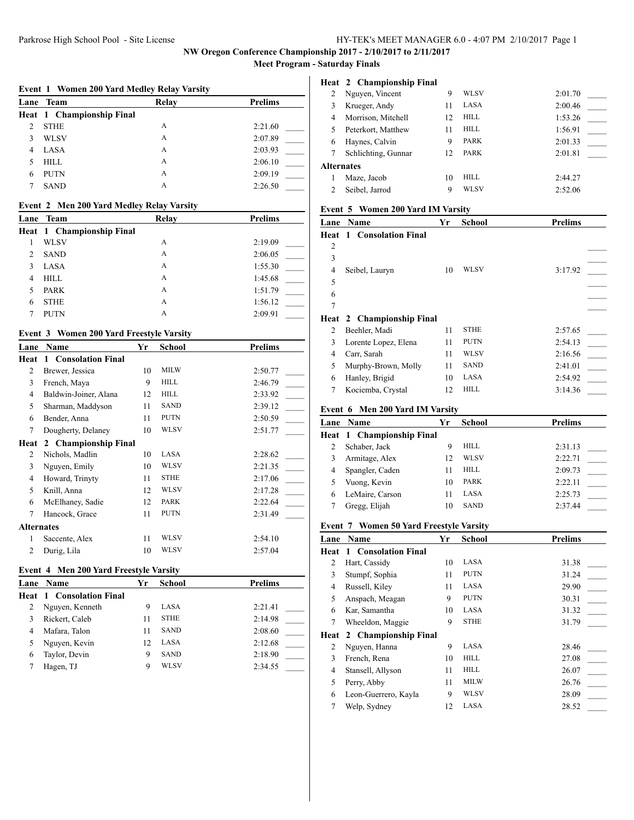**NW Oregon Conference Championship 2017 - 2/10/2017 to 2/11/2017**

**Meet Program - Saturday Finals**

# **Event 1 Women 200 Yard Medley Relay Varsity Lane Team Relay Prelims Heat 1 Championship Final** 2 STHE A 2:21.60

|    | $\sim$ 0.111112 | $\overline{1}$ | 2.21.00 |  |
|----|-----------------|----------------|---------|--|
| 3  | WLSV            | А              | 2:07.89 |  |
|    | 4 LASA          | А              | 2:03.93 |  |
| 5. | HILL            | А              | 2:06.10 |  |
|    | 6 PUTN          | A              | 2:09.19 |  |
|    | SAND            | А              | 2:26.50 |  |

#### **Event 2 Men 200 Yard Medley Relay Varsity**

|                               | Lane Team                        | Relay | <b>Prelims</b> |
|-------------------------------|----------------------------------|-------|----------------|
|                               | <b>Heat 1 Championship Final</b> |       |                |
|                               | <b>WLSV</b>                      | А     | 2:19.09        |
| $\mathfrak{D}_{\mathfrak{p}}$ | <b>SAND</b>                      | A     | 2:06.05        |
|                               | LASA                             | A     | 1:55.30        |
| 4                             | <b>HILL</b>                      | A     | 1:45.68        |
|                               | <b>PARK</b>                      | A     | 1:51.79        |
| 6                             | <b>STHE</b>                      | A     | 1:56.12        |
|                               | <b>PUTN</b>                      | А     | 2:09.91        |

### **Event 3 Women 200 Yard Freestyle Varsity**

| Lane              | Name                  | Yr | School      | <b>Prelims</b> |
|-------------------|-----------------------|----|-------------|----------------|
| Heat              | 1 Consolation Final   |    |             |                |
| $\overline{c}$    | Brewer, Jessica       | 10 | <b>MILW</b> | 2:50.77        |
| 3                 | French, Maya          | 9  | <b>HILL</b> | 2:46.79        |
| 4                 | Baldwin-Joiner, Alana | 12 | <b>HILL</b> | 2:33.92        |
| 5                 | Sharman, Maddyson     | 11 | <b>SAND</b> | 2:39.12        |
| 6                 | Bender, Anna          | 11 | <b>PUTN</b> | 2:50.59        |
| 7                 | Dougherty, Delaney    | 10 | <b>WLSV</b> | 2:51.77        |
| Heat              | 2 Championship Final  |    |             |                |
| 2                 | Nichols, Madlin       | 10 | LASA        | 2:28.62        |
| 3                 | Nguyen, Emily         | 10 | <b>WLSV</b> | 2:21.35        |
| 4                 | Howard, Trinyty       | 11 | <b>STHE</b> | 2:17.06        |
| 5                 | Knill, Anna           | 12 | <b>WLSV</b> | 2:17.28        |
| 6                 | McElhaney, Sadie      | 12 | <b>PARK</b> | 2:22.64        |
| 7                 | Hancock, Grace        | 11 | <b>PUTN</b> | 2:31.49        |
| <b>Alternates</b> |                       |    |             |                |
| 1                 | Saccente, Alex        | 11 | WLSV        | 2:54.10        |
| $\overline{c}$    | Durig, Lila           | 10 | WLSV        | 2:57.04        |

#### **Event 4 Men 200 Yard Freestyle Varsity**

| <b>Lane Name</b>                | Yr | <b>School</b> | <b>Prelims</b> |
|---------------------------------|----|---------------|----------------|
| <b>Heat 1 Consolation Final</b> |    |               |                |
| Nguyen, Kenneth                 | 9  | LASA          | 2:21.41        |
| Rickert, Caleb                  |    | <b>STHE</b>   | 2:14.98        |
| Mafara, Talon                   | 11 | <b>SAND</b>   | 2:08.60        |
| Nguyen, Kevin                   | 12 | LASA          | 2:12.68        |
| Taylor, Devin                   | 9  | <b>SAND</b>   | 2:18.90        |
| Hagen, TJ                       | 9  | WLSV          | 2:34.55        |
|                                 |    |               |                |

|                   | Heat 2 Championship Final |    |       |         |
|-------------------|---------------------------|----|-------|---------|
| 2                 | Nguyen, Vincent           | 9  | WLSV  | 2:01.70 |
| 3                 | Krueger, Andy             | 11 | LASA  | 2:00.46 |
| 4                 | Morrison, Mitchell        | 12 | HILL  | 1:53.26 |
| 5                 | Peterkort, Matthew        | 11 | HILL. | 1:56.91 |
| 6                 | Haynes, Calvin            | 9  | PARK  | 2:01.33 |
| 7                 | Schlichting, Gunnar       | 12 | PARK  | 2:01.81 |
| <b>Alternates</b> |                           |    |       |         |
|                   | Maze, Jacob               | 10 | HILL. | 2:44.27 |
|                   | Seibel, Jarrod            | 9  | WLSV  | 2:52.06 |

## **Event 5 Women 200 Yard IM Varsity**

| Lane           | Name                                           | Yr | <b>School</b> | <b>Prelims</b> |
|----------------|------------------------------------------------|----|---------------|----------------|
| Heat           | <b>Consolation Final</b><br>$\mathbf{1}$       |    |               |                |
| $\overline{2}$ |                                                |    |               |                |
| 3              |                                                |    |               |                |
| $\overline{4}$ | Seibel, Lauryn                                 | 10 | WLSV          | 3:17.92        |
| 5              |                                                |    |               |                |
| 6              |                                                |    |               |                |
| $\overline{7}$ |                                                |    |               |                |
| Heat           | 2 Championship Final                           |    |               |                |
| 2              | Beehler, Madi                                  | 11 | <b>STHE</b>   | 2:57.65        |
| 3              | Lorente Lopez, Elena                           | 11 | <b>PUTN</b>   | 2:54.13        |
| 4              | Carr, Sarah                                    | 11 | <b>WLSV</b>   | 2:16.56        |
| 5              | Murphy-Brown, Molly                            | 11 | <b>SAND</b>   | 2:41.01        |
| 6              | Hanley, Brigid                                 | 10 | LASA          | 2:54.92        |
| 7              | Kociemba, Crystal                              | 12 | <b>HILL</b>   | 3:14.36        |
|                | Event 6 Men 200 Yard IM Varsity                |    |               |                |
| Lane           | Name                                           | Yr | <b>School</b> | <b>Prelims</b> |
|                |                                                |    |               |                |
| Heat           | 1 Championship Final                           |    |               |                |
| 2              | Schaber, Jack                                  | 9  | <b>HILL</b>   | 2:31.13        |
| 3              | Armitage, Alex                                 | 12 | <b>WLSV</b>   | 2:22.71        |
| 4              | Spangler, Caden                                | 11 | HILL          | 2:09.73        |
| 5              | Vuong, Kevin                                   | 10 | <b>PARK</b>   | 2:22.11        |
| 6              | LeMaire, Carson                                | 11 | LASA          | 2:25.73        |
| 7              | Gregg, Elijah                                  | 10 | <b>SAND</b>   | 2:37.44        |
|                | <b>Event 7 Women 50 Yard Freestyle Varsity</b> |    |               |                |
| Lane           | Name                                           | Yr | <b>School</b> | <b>Prelims</b> |
| Heat           | 1 Consolation Final                            |    |               |                |
| 2              | Hart, Cassidy                                  | 10 | LASA          | 31.38          |
| 3              | Stumpf, Sophia                                 | 11 | <b>PUTN</b>   | 31.24          |
| 4              | Russell, Kiley                                 | 11 | LASA          | 29.90          |
| 5              | Anspach, Meagan                                | 9  | <b>PUTN</b>   | 30.31          |

| Lane | <b>Name</b>          | Yr | School      | <b>Prelims</b> |
|------|----------------------|----|-------------|----------------|
| Heat | 1 Consolation Final  |    |             |                |
| 2    | Hart, Cassidy        | 10 | LASA        | 31.38          |
| 3    | Stumpf, Sophia       | 11 | <b>PUTN</b> | 31.24          |
| 4    | Russell, Kiley       | 11 | LASA        | 29.90          |
| 5    | Anspach, Meagan      | 9  | <b>PUTN</b> | 30.31          |
| 6    | Kar, Samantha        | 10 | LASA        | 31.32          |
| 7    | Wheeldon, Maggie     | 9  | <b>STHE</b> | 31.79          |
| Heat | 2 Championship Final |    |             |                |
| 2    | Nguyen, Hanna        | 9  | LASA        | 28.46          |
| 3    | French, Rena         | 10 | HILL        | 27.08          |
| 4    | Stansell, Allyson    | 11 | HILL        | 26.07          |
| 5    | Perry, Abby          | 11 | MILW        | 26.76          |
| 6    | Leon-Guerrero, Kayla | 9  | WLSV        | 28.09          |
|      | Welp, Sydney         | 12 | LASA        | 28.52          |
|      |                      |    |             |                |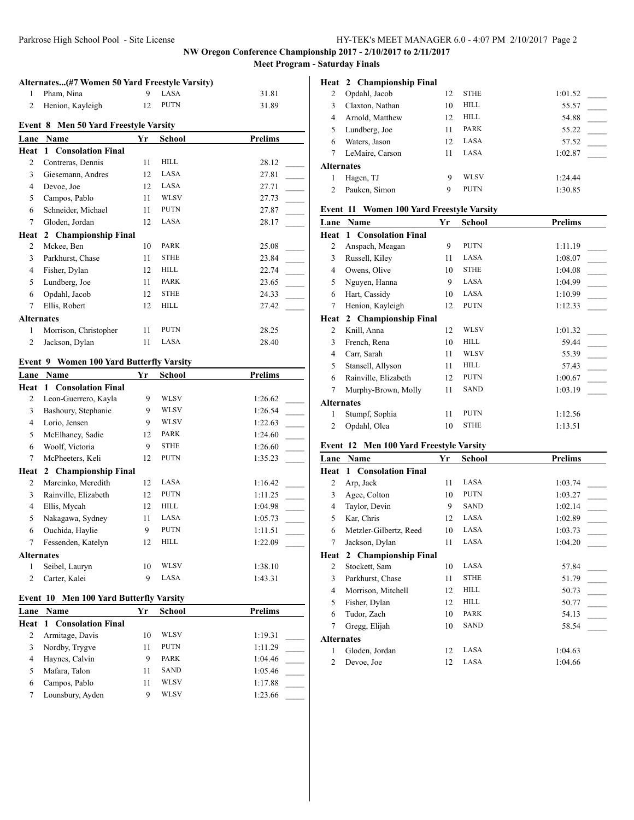**NW Oregon Conference Championship 2017 - 2/10/2017 to 2/11/2017**

**Meet Program - Saturday Finals**

|                   | Alternates(#7 Women 50 Yard Freestyle Varsity) |    |               |                |  |  |
|-------------------|------------------------------------------------|----|---------------|----------------|--|--|
| 1                 | Pham, Nina                                     | 9  | LASA          | 31.81          |  |  |
| $\overline{c}$    | Henion, Kayleigh                               | 12 | <b>PUTN</b>   | 31.89          |  |  |
|                   | <b>Event 8 Men 50 Yard Freestyle Varsity</b>   |    |               |                |  |  |
| Lane              | Name                                           | Yr | <b>School</b> | <b>Prelims</b> |  |  |
| Heat              | 1 Consolation Final                            |    |               |                |  |  |
| 2                 | Contreras, Dennis                              | 11 | <b>HILL</b>   | 28.12          |  |  |
| 3                 | Giesemann, Andres                              | 12 | LASA          | 27.81          |  |  |
| 4                 | Devoe, Joe                                     | 12 | LASA          | 27.71          |  |  |
| 5                 | Campos, Pablo                                  | 11 | <b>WLSV</b>   | 27.73          |  |  |
| 6                 | Schneider, Michael                             | 11 | <b>PUTN</b>   | 27.87          |  |  |
| 7                 | Gloden, Jordan                                 | 12 | LASA          | 28.17          |  |  |
| Heat              | 2 Championship Final                           |    |               |                |  |  |
| 2                 | Mckee, Ben                                     | 10 | <b>PARK</b>   | 25.08          |  |  |
| 3                 | Parkhurst, Chase                               | 11 | <b>STHE</b>   | 23.84          |  |  |
| 4                 | Fisher, Dylan                                  | 12 | <b>HILL</b>   | 22.74          |  |  |
| 5                 | Lundberg, Joe                                  | 11 | <b>PARK</b>   | 23.65          |  |  |
| 6                 | Opdahl, Jacob                                  | 12 | <b>STHE</b>   | 24.33          |  |  |
| 7                 | Ellis, Robert                                  | 12 | <b>HILL</b>   | 27.42          |  |  |
| <b>Alternates</b> |                                                |    |               |                |  |  |
| 1                 | Morrison, Christopher                          | 11 | <b>PUTN</b>   | 28.25          |  |  |
| $\overline{c}$    | Jackson, Dylan                                 | 11 | LASA          | 28.40          |  |  |

# **Event 9 Women 100 Yard Butterfly Varsity**

| Name                 | Yr                | <b>School</b>        | <b>Prelims</b> |
|----------------------|-------------------|----------------------|----------------|
| 1 Consolation Final  |                   |                      |                |
| Leon-Guerrero, Kayla | 9                 | WLSV                 | 1:26.62        |
| Bashoury, Stephanie  | 9                 | WLSV                 | 1:26.54        |
| Lorio, Jensen        | 9                 | WLSV                 | 1:22.63        |
| McElhaney, Sadie     | 12                | <b>PARK</b>          | 1:24.60        |
| Woolf, Victoria      | 9                 | <b>STHE</b>          | 1:26.60        |
| McPheeters, Keli     | 12                | <b>PUTN</b>          | 1:35.23        |
|                      |                   |                      |                |
| Marcinko, Meredith   | 12                | LASA                 | 1:16.42        |
| Rainville, Elizabeth | 12                | <b>PUTN</b>          | 1:11.25        |
| Ellis, Mycah         | 12                | <b>HILL</b>          | 1:04.98        |
| Nakagawa, Sydney     | 11                | LASA                 | 1:05.73        |
| Ouchida, Haylie      | 9                 | <b>PUTN</b>          | 1:11.51        |
| Fessenden, Katelyn   | 12                | <b>HILL</b>          | 1:22.09        |
|                      |                   |                      |                |
| Seibel, Lauryn       | 10                | WLSV                 | 1:38.10        |
| Carter, Kalei        | 9                 | LASA                 | 1:43.31        |
|                      | <b>Alternates</b> | 2 Championship Final |                |

## **Event 10 Men 100 Yard Butterfly Varsity**

| <b>Lane</b> Name                | Yr | <b>School</b> | <b>Prelims</b> |
|---------------------------------|----|---------------|----------------|
| <b>Heat 1 Consolation Final</b> |    |               |                |
| Armitage, Davis                 | 10 | WLSV          | 1:19.31        |
| Nordby, Trygve                  |    | <b>PUTN</b>   | 1:11.29        |
| Haynes, Calvin                  | Q  | <b>PARK</b>   | 1:04.46        |
| Mafara, Talon                   | 11 | <b>SAND</b>   | 1:05.46        |
| Campos, Pablo                   | 11 | WLSV          | 1:17.88        |
| Lounsbury, Ayden                |    | WLSV          | 1:23.66        |

|                   | Heat 2 Championship Final |    |             |         |
|-------------------|---------------------------|----|-------------|---------|
| 2                 | Opdahl, Jacob             | 12 | <b>STHE</b> | 1:01.52 |
| 3                 | Claxton, Nathan           | 10 | HILL.       | 55.57   |
| 4                 | Arnold, Matthew           | 12 | HILL.       | 54.88   |
| 5                 | Lundberg, Joe             | 11 | PARK        | 55.22   |
| 6                 | Waters, Jason             | 12 | <b>LASA</b> | 57.52   |
| 7                 | LeMaire, Carson           | 11 | <b>LASA</b> | 1:02.87 |
| <b>Alternates</b> |                           |    |             |         |
|                   | Hagen, TJ                 | 9  | WL SV       | 1:24.44 |
| $\mathfrak{D}$    | Pauken, Simon             | 9  | <b>PUTN</b> | 1:30.85 |

## **Event 11 Women 100 Yard Freestyle Varsity**

| Lane              | Name                 | Yr | School      | <b>Prelims</b> |
|-------------------|----------------------|----|-------------|----------------|
| Heat              | 1 Consolation Final  |    |             |                |
| 2                 | Anspach, Meagan      | 9  | <b>PUTN</b> | 1:11.19        |
| 3                 | Russell, Kiley       | 11 | LASA        | 1:08.07        |
| 4                 | Owens, Olive         | 10 | <b>STHE</b> | 1:04.08        |
| 5                 | Nguyen, Hanna        | 9  | LASA        | 1:04.99        |
| 6                 | Hart, Cassidy        | 10 | LASA        | 1:10.99        |
| 7                 | Henion, Kayleigh     | 12 | <b>PUTN</b> | 1:12.33        |
| Heat              | 2 Championship Final |    |             |                |
| 2                 | Knill, Anna          | 12 | WLSV        | 1:01.32        |
| 3                 | French, Rena         | 10 | <b>HILL</b> | 59.44          |
| 4                 | Carr, Sarah          | 11 | WLSV        | 55.39          |
| 5                 | Stansell, Allyson    | 11 | <b>HILL</b> | 57.43          |
| 6                 | Rainville, Elizabeth | 12 | <b>PUTN</b> | 1:00.67        |
| 7                 | Murphy-Brown, Molly  | 11 | <b>SAND</b> | 1:03.19        |
| <b>Alternates</b> |                      |    |             |                |
| 1                 | Stumpf, Sophia       | 11 | <b>PUTN</b> | 1:12.56        |
| 2                 | Opdahl, Olea         | 10 | <b>STHE</b> | 1:13.51        |

## **Event 12 Men 100 Yard Freestyle Varsity**

| Lane       | Name                   | Yr | School      | <b>Prelims</b> |
|------------|------------------------|----|-------------|----------------|
| Heat       | 1 Consolation Final    |    |             |                |
| 2          | Arp, Jack              | 11 | LASA        | 1:03.74        |
| 3          | Agee, Colton           | 10 | <b>PUTN</b> | 1:03.27        |
| 4          | Taylor, Devin          | 9  | <b>SAND</b> | 1:02.14        |
| 5          | Kar, Chris             | 12 | LASA        | 1:02.89        |
| 6          | Metzler-Gilbertz, Reed | 10 | LASA        | 1:03.73        |
| 7          | Jackson, Dylan         | 11 | LASA        | 1:04.20        |
| Heat       | 2 Championship Final   |    |             |                |
| 2          | Stockett, Sam          | 10 | LASA        | 57.84          |
| 3          | Parkhurst, Chase       | 11 | <b>STHE</b> | 51.79          |
| 4          | Morrison, Mitchell     | 12 | <b>HILL</b> | 50.73          |
| 5          | Fisher, Dylan          | 12 | HILL        | 50.77          |
| 6          | Tudor, Zach            | 10 | PARK        | 54.13          |
| 7          | Gregg, Elijah          | 10 | <b>SAND</b> | 58.54          |
| Alternates |                        |    |             |                |
| 1          | Gloden, Jordan         | 12 | LASA        | 1:04.63        |
| 2          | Devoe, Joe             | 12 | LASA        | 1:04.66        |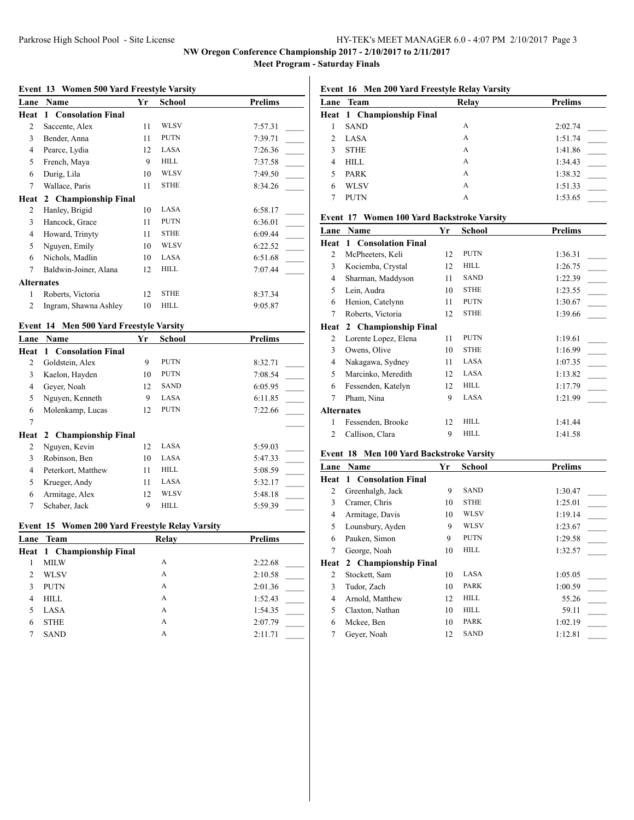## Parkrose High School Pool - Site License HY-TEK's MEET MANAGER 6.0 - 4:07 PM 2/10/2017 Page 3

# **NW Oregon Conference Championship 2017 - 2/10/2017 to 2/11/2017**

**Meet Program - Saturday Finals**

#### **Event 13 Women 500 Yard Freestyle Varsity**

| Name                  | Yr | <b>School</b>        | <b>Prelims</b> |
|-----------------------|----|----------------------|----------------|
| 1 Consolation Final   |    |                      |                |
| Saccente, Alex        | 11 | WLSV                 | 7:57.31        |
| Bender, Anna          | 11 | <b>PUTN</b>          | 7:39.71        |
| Pearce, Lydia         | 12 | LASA                 | 7:26.36        |
| French, Maya          | 9  | <b>HILL</b>          | 7:37.58        |
| Durig, Lila           | 10 | <b>WLSV</b>          | 7:49.50        |
| Wallace, Paris        | 11 | <b>STHE</b>          | 8:34.26        |
|                       |    |                      |                |
| Hanley, Brigid        | 10 | LASA                 | 6:58.17        |
| Hancock, Grace        | 11 | <b>PUTN</b>          | 6:36.01        |
| Howard, Trinyty       | 11 | <b>STHE</b>          | 6:09.44        |
| Nguyen, Emily         | 10 | <b>WLSV</b>          | 6:22.52        |
| Nichols, Madlin       | 10 | LASA                 | 6:51.68        |
| Baldwin-Joiner, Alana | 12 | <b>HILL</b>          | 7:07.44        |
| <b>Alternates</b>     |    |                      |                |
| Roberts, Victoria     | 12 | <b>STHE</b>          | 8:37.34        |
| Ingram, Shawna Ashley | 10 | <b>HILL</b>          | 9:05.87        |
|                       |    | 2 Championship Final |                |

## **Event 14 Men 500 Yard Freestyle Varsity**

| Lane | <b>Name</b>               | Yr | <b>School</b> | <b>Prelims</b> |
|------|---------------------------|----|---------------|----------------|
| Heat | 1 Consolation Final       |    |               |                |
| 2    | Goldstein, Alex           | 9  | <b>PUTN</b>   | 8:32.71        |
| 3    | Kaelon, Hayden            | 10 | <b>PUTN</b>   | 7:08.54        |
| 4    | Gever, Noah               | 12 | <b>SAND</b>   | 6:05.95        |
| 5    | Nguyen, Kenneth           | 9  | LASA          | 6:11.85        |
| 6    | Molenkamp, Lucas          | 12 | <b>PUTN</b>   | 7:22.66        |
| 7    |                           |    |               |                |
|      | Heat 2 Championship Final |    |               |                |
| 2    | Nguyen, Kevin             | 12 | LASA          | 5:59.03        |
| 3    | Robinson, Ben             | 10 | LASA          | 5:47.33        |
| 4    | Peterkort, Matthew        | 11 | HILL          | 5:08.59        |
| 5    | Krueger, Andy             | 11 | LASA          | 5:32.17        |
| 6    | Armitage, Alex            | 12 | WLSV          | 5:48.18        |
| 7    | Schaber, Jack             | 9  | HILL          | 5:59.39        |

## **Event 15 Women 200 Yard Freestyle Relay Varsity**

|   | Lane Team                        | Relay | <b>Prelims</b> |
|---|----------------------------------|-------|----------------|
|   | <b>Heat 1 Championship Final</b> |       |                |
|   | <b>MILW</b>                      | А     | 2:22.68        |
|   | <b>WLSV</b>                      | А     | 2:10.58        |
|   | <b>PUTN</b>                      | А     | 2:01.36        |
| 4 | <b>HILL</b>                      | А     | 1:52.43        |
|   | LASA                             | А     | 1:54.35        |
| 6 | <b>STHE</b>                      | A     | 2:07.79        |
|   | <b>SAND</b>                      | А     | 2:11.71        |

## **Event 16 Men 200 Yard Freestyle Relay Varsity**

|                | Lane Team                        | Relay | <b>Prelims</b> |
|----------------|----------------------------------|-------|----------------|
|                | <b>Heat 1 Championship Final</b> |       |                |
|                | <b>SAND</b>                      | A     | 2:02.74        |
| $\mathfrak{D}$ | LASA                             | A     | 1:51.74        |
| 3              | <b>STHE</b>                      | A     | 1:41.86        |
| 4              | <b>HILL</b>                      | A     | 1:34.43        |
| 5              | <b>PARK</b>                      | A     | 1:38.32        |
| 6              | <b>WLSV</b>                      | A     | 1:51.33        |
|                | PUTN                             | А     | 1:53.65        |

#### **Event 17 Women 100 Yard Backstroke Varsity**

| Lane              | <b>Name</b>          | Yr | School      | Prelims |
|-------------------|----------------------|----|-------------|---------|
| Heat              | 1 Consolation Final  |    |             |         |
| 2                 | McPheeters, Keli     | 12 | <b>PUTN</b> | 1:36.31 |
| 3                 | Kociemba, Crystal    | 12 | <b>HILL</b> | 1:26.75 |
| 4                 | Sharman, Maddyson    | 11 | <b>SAND</b> | 1:22.39 |
| 5                 | Lein, Audra          | 10 | <b>STHE</b> | 1:23.55 |
| 6                 | Henion, Catelynn     | 11 | <b>PUTN</b> | 1:30.67 |
| 7                 | Roberts, Victoria    | 12 | <b>STHE</b> | 1:39.66 |
| Heat              | 2 Championship Final |    |             |         |
| 2                 | Lorente Lopez, Elena | 11 | <b>PUTN</b> | 1:19.61 |
| 3                 | Owens, Olive         | 10 | <b>STHE</b> | 1:16.99 |
| 4                 | Nakagawa, Sydney     | 11 | LASA        | 1:07.35 |
| 5                 | Marcinko, Meredith   | 12 | LASA        | 1:13.82 |
| 6                 | Fessenden, Katelyn   | 12 | HILL        | 1:17.79 |
| 7                 | Pham, Nina           | 9  | LASA        | 1:21.99 |
| <b>Alternates</b> |                      |    |             |         |
| 1                 | Fessenden, Brooke    | 12 | <b>HILL</b> | 1:41.44 |
| 2                 | Callison, Clara      | 9  | HILL        | 1:41.58 |
|                   |                      |    |             |         |

## **Event 18 Men 100 Yard Backstroke Varsity**

| Lane | Name                            | Yr | School      | <b>Prelims</b> |
|------|---------------------------------|----|-------------|----------------|
|      | <b>Heat 1 Consolation Final</b> |    |             |                |
| 2    | Greenhalgh, Jack                | 9  | <b>SAND</b> | 1:30.47        |
| 3    | Cramer, Chris                   | 10 | <b>STHE</b> | 1:25.01        |
| 4    | Armitage, Davis                 | 10 | WLSV        | 1:19.14        |
| 5    | Lounsbury, Ayden                | 9  | WLSV        | 1:23.67        |
| 6    | Pauken, Simon                   | 9  | <b>PUTN</b> | 1:29.58        |
| 7    | George, Noah                    | 10 | <b>HILL</b> | 1:32.57        |
| Heat | 2 Championship Final            |    |             |                |
| 2    | Stockett, Sam                   | 10 | LASA        | 1:05.05        |
| 3    | Tudor, Zach                     | 10 | PARK        | 1:00.59        |
| 4    | Arnold, Matthew                 | 12 | HILL        | 55.26          |
| 5    | Claxton, Nathan                 | 10 | HILL        | 59.11          |
| 6    | Mckee, Ben                      | 10 | <b>PARK</b> | 1:02.19        |
| 7    | Gever, Noah                     | 12 | <b>SAND</b> | 1:12.81        |